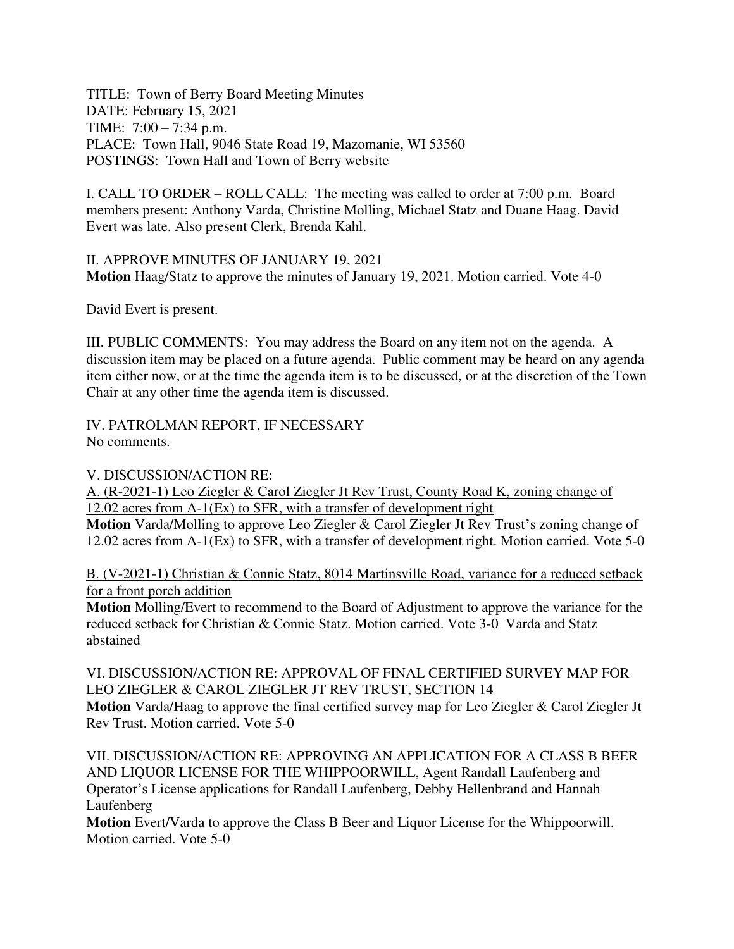TITLE: Town of Berry Board Meeting Minutes DATE: February 15, 2021 TIME: 7:00 – 7:34 p.m. PLACE: Town Hall, 9046 State Road 19, Mazomanie, WI 53560 POSTINGS: Town Hall and Town of Berry website

I. CALL TO ORDER – ROLL CALL: The meeting was called to order at 7:00 p.m. Board members present: Anthony Varda, Christine Molling, Michael Statz and Duane Haag. David Evert was late. Also present Clerk, Brenda Kahl.

II. APPROVE MINUTES OF JANUARY 19, 2021 **Motion** Haag/Statz to approve the minutes of January 19, 2021. Motion carried. Vote 4-0

David Evert is present.

III. PUBLIC COMMENTS: You may address the Board on any item not on the agenda. A discussion item may be placed on a future agenda. Public comment may be heard on any agenda item either now, or at the time the agenda item is to be discussed, or at the discretion of the Town Chair at any other time the agenda item is discussed.

IV. PATROLMAN REPORT, IF NECESSARY No comments.

V. DISCUSSION/ACTION RE:

A. (R-2021-1) Leo Ziegler & Carol Ziegler Jt Rev Trust, County Road K, zoning change of 12.02 acres from A-1(Ex) to SFR, with a transfer of development right

**Motion** Varda/Molling to approve Leo Ziegler & Carol Ziegler Jt Rev Trust's zoning change of 12.02 acres from A-1(Ex) to SFR, with a transfer of development right. Motion carried. Vote 5-0

B. (V-2021-1) Christian & Connie Statz, 8014 Martinsville Road, variance for a reduced setback for a front porch addition

**Motion** Molling/Evert to recommend to the Board of Adjustment to approve the variance for the reduced setback for Christian & Connie Statz. Motion carried. Vote 3-0 Varda and Statz abstained

VI. DISCUSSION/ACTION RE: APPROVAL OF FINAL CERTIFIED SURVEY MAP FOR LEO ZIEGLER & CAROL ZIEGLER JT REV TRUST, SECTION 14 **Motion** Varda/Haag to approve the final certified survey map for Leo Ziegler & Carol Ziegler Jt Rev Trust. Motion carried. Vote 5-0

VII. DISCUSSION/ACTION RE: APPROVING AN APPLICATION FOR A CLASS B BEER AND LIQUOR LICENSE FOR THE WHIPPOORWILL, Agent Randall Laufenberg and Operator's License applications for Randall Laufenberg, Debby Hellenbrand and Hannah Laufenberg

**Motion** Evert/Varda to approve the Class B Beer and Liquor License for the Whippoorwill. Motion carried. Vote 5-0